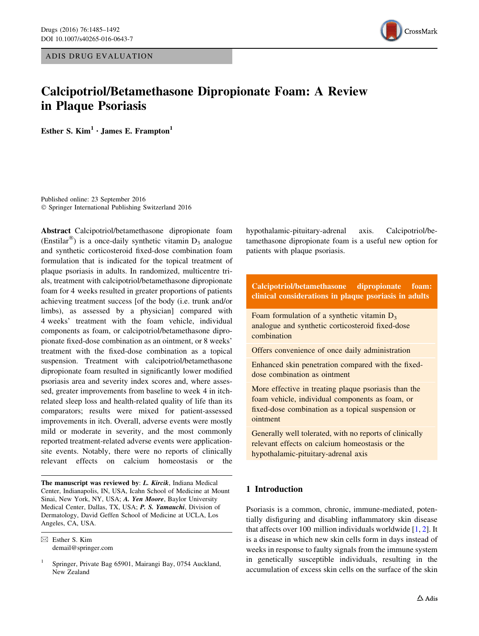ADIS DRUG EVALUATION



# Calcipotriol/Betamethasone Dipropionate Foam: A Review in Plaque Psoriasis

Esther S.  $Kim<sup>1</sup> · James E. Frampton<sup>1</sup>$ 

Published online: 23 September 2016 - Springer International Publishing Switzerland 2016

Abstract Calcipotriol/betamethasone dipropionate foam (Enstilar<sup>®</sup>) is a once-daily synthetic vitamin  $D_3$  analogue and synthetic corticosteroid fixed-dose combination foam formulation that is indicated for the topical treatment of plaque psoriasis in adults. In randomized, multicentre trials, treatment with calcipotriol/betamethasone dipropionate foam for 4 weeks resulted in greater proportions of patients achieving treatment success [of the body (i.e. trunk and/or limbs), as assessed by a physician] compared with 4 weeks' treatment with the foam vehicle, individual components as foam, or calcipotriol/betamethasone dipropionate fixed-dose combination as an ointment, or 8 weeks' treatment with the fixed-dose combination as a topical suspension. Treatment with calcipotriol/betamethasone dipropionate foam resulted in significantly lower modified psoriasis area and severity index scores and, where assessed, greater improvements from baseline to week 4 in itchrelated sleep loss and health-related quality of life than its comparators; results were mixed for patient-assessed improvements in itch. Overall, adverse events were mostly mild or moderate in severity, and the most commonly reported treatment-related adverse events were applicationsite events. Notably, there were no reports of clinically relevant effects on calcium homeostasis or the

The manuscript was reviewed by: L. Kircik, Indiana Medical Center, Indianapolis, IN, USA, Icahn School of Medicine at Mount Sinai, New York, NY, USA; A. Yen Moore, Baylor University Medical Center, Dallas, TX, USA; P. S. Yamauchi, Division of Dermatology, David Geffen School of Medicine at UCLA, Los Angeles, CA, USA.

 $\boxtimes$  Esther S. Kim demail@springer.com hypothalamic-pituitary-adrenal axis. Calcipotriol/betamethasone dipropionate foam is a useful new option for patients with plaque psoriasis.

# Calcipotriol/betamethasone dipropionate foam: clinical considerations in plaque psoriasis in adults

Foam formulation of a synthetic vitamin  $D_3$ analogue and synthetic corticosteroid fixed-dose combination

Offers convenience of once daily administration

Enhanced skin penetration compared with the fixeddose combination as ointment

More effective in treating plaque psoriasis than the foam vehicle, individual components as foam, or fixed-dose combination as a topical suspension or ointment

Generally well tolerated, with no reports of clinically relevant effects on calcium homeostasis or the hypothalamic-pituitary-adrenal axis

# 1 Introduction

Psoriasis is a common, chronic, immune-mediated, potentially disfiguring and disabling inflammatory skin disease that affects over 100 million individuals worldwide  $[1, 2]$  $[1, 2]$  $[1, 2]$  $[1, 2]$  $[1, 2]$ . It is a disease in which new skin cells form in days instead of weeks in response to faulty signals from the immune system in genetically susceptible individuals, resulting in the accumulation of excess skin cells on the surface of the skin

<sup>1</sup> Springer, Private Bag 65901, Mairangi Bay, 0754 Auckland, New Zealand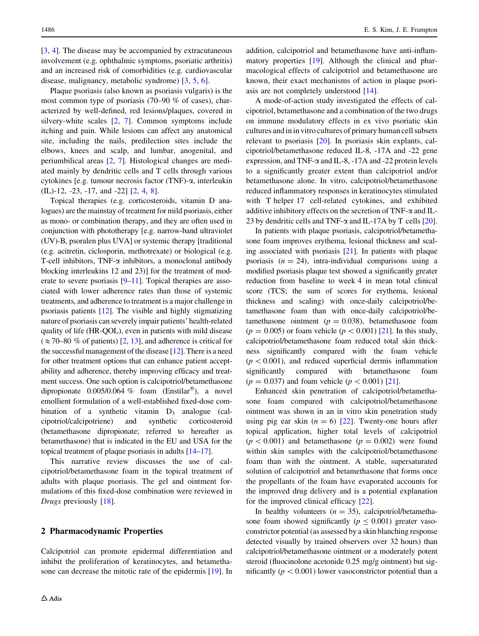[\[3](#page-6-0), [4\]](#page-6-0). The disease may be accompanied by extracutaneous involvement (e.g. ophthalmic symptoms, psoriatic arthritis) and an increased risk of comorbidities (e.g. cardiovascular disease, malignancy, metabolic syndrome) [\[3](#page-6-0), [5,](#page-6-0) [6](#page-6-0)].

Plaque psoriasis (also known as psoriasis vulgaris) is the most common type of psoriasis (70–90 % of cases), characterized by well-defined, red lesions/plaques, covered in silvery-white scales [[2,](#page-6-0) [7\]](#page-7-0). Common symptoms include itching and pain. While lesions can affect any anatomical site, including the nails, predilection sites include the elbows, knees and scalp, and lumbar, anogenital, and periumbilical areas [[2,](#page-6-0) [7\]](#page-7-0). Histological changes are mediated mainly by dendritic cells and T cells through various cytokines [e.g. tumour necrosis factor (TNF)-a, interleukin (IL)-12, -23, -17, and -22] [[2,](#page-6-0) [4](#page-6-0), [8](#page-7-0)].

Topical therapies (e.g. corticosteroids, vitamin D analogues) are the mainstay of treatment for mild psoriasis, either as mono- or combination therapy, and they are often used in conjunction with phototherapy [e.g. narrow-band ultraviolet (UV)-B, psoralen plus UVA] or systemic therapy [traditional (e.g. acitretin, ciclosporin, methotrexate) or biological (e.g. T-cell inhibitors, TNF- $\alpha$  inhibitors, a monoclonal antibody blocking interleukins 12 and 23)] for the treatment of moderate to severe psoriasis  $[9-11]$ . Topical therapies are associated with lower adherence rates than those of systemic treatments, and adherence to treatment is a major challenge in psoriasis patients [\[12\]](#page-7-0). The visible and highly stigmatizing nature of psoriasis can severely impair patients' health-related quality of life (HR-QOL), even in patients with mild disease  $(\approx 70-80$  % of patients) [[2](#page-6-0), [13](#page-7-0)], and adherence is critical for the successful management of the disease [[12\]](#page-7-0). There is a need for other treatment options that can enhance patient acceptability and adherence, thereby improving efficacy and treatment success. One such option is calcipotriol/betamethasone dipropionate  $0.005/0.064 \%$  foam (Enstilar<sup>®</sup>), a novel emollient formulation of a well-established fixed-dose combination of a synthetic vitamin  $D_3$  analogue (calcipotriol/calcipotriene) and synthetic corticosteroid (betamethasone dipropionate; referred to hereafter as betamethasone) that is indicated in the EU and USA for the topical treatment of plaque psoriasis in adults [[14–17](#page-7-0)].

This narrative review discusses the use of calcipotriol/betamethasone foam in the topical treatment of adults with plaque psoriasis. The gel and ointment formulations of this fixed-dose combination were reviewed in Drugs previously [\[18](#page-7-0)].

### 2 Pharmacodynamic Properties

Calcipotriol can promote epidermal differentiation and inhibit the proliferation of keratinocytes, and betamethasone can decrease the mitotic rate of the epidermis [\[19](#page-7-0)]. In

addition, calcipotriol and betamethasone have anti-inflammatory properties [[19\]](#page-7-0). Although the clinical and pharmacological effects of calcipotriol and betamethasone are known, their exact mechanisms of action in plaque psoriasis are not completely understood [\[14](#page-7-0)].

A mode-of-action study investigated the effects of calcipotriol, betamethasone and a combination of the two drugs on immune modulatory effects in ex vivo psoriatic skin cultures and in in vitro cultures of primary human cell subsets relevant to psoriasis [[20\]](#page-7-0). In psoriasis skin explants, calcipotriol/betamethasone reduced IL-8, -17A and -22 gene expression, and TNF-a and IL-8, -17A and -22 protein levels to a significantly greater extent than calcipotriol and/or betamethasone alone. In vitro, calcipotriol/betamethasone reduced inflammatory responses in keratinocytes stimulated with T helper 17 cell-related cytokines, and exhibited additive inhibitory effects on the secretion of TNF- $\alpha$  and IL-23 by dendritic cells and TNF- $\alpha$  and IL-17A by T cells [\[20](#page-7-0)].

In patients with plaque psoriasis, calcipotriol/betamethasone foam improves erythema, lesional thickness and scaling associated with psoriasis [\[21\]](#page-7-0). In patients with plaque psoriasis  $(n = 24)$ , intra-individual comparisons using a modified psoriasis plaque test showed a significantly greater reduction from baseline to week 4 in mean total clinical score (TCS; the sum of scores for erythema, lesional thickness and scaling) with once-daily calcipotriol/betamethasone foam than with once-daily calcipotriol/betamethasone ointment ( $p = 0.038$ ), betamethasone foam  $(p = 0.005)$  or foam vehicle  $(p < 0.001)$  [\[21](#page-7-0)]. In this study, calcipotriol/betamethasone foam reduced total skin thickness significantly compared with the foam vehicle  $(p<0.001)$ , and reduced superficial dermis inflammation significantly compared with betamethasone foam  $(p = 0.037)$  and foam vehicle  $(p < 0.001)$  [[21](#page-7-0)].

Enhanced skin penetration of calcipotriol/betamethasone foam compared with calcipotriol/betamethasone ointment was shown in an in vitro skin penetration study using pig ear skin  $(n = 6)$  [\[22](#page-7-0)]. Twenty-one hours after topical application, higher total levels of calcipotriol  $(p < 0.001)$  and betamethasone  $(p = 0.002)$  were found within skin samples with the calcipotriol/betamethasone foam than with the ointment. A stable, supersaturated solution of calcipotriol and betamethasone that forms once the propellants of the foam have evaporated accounts for the improved drug delivery and is a potential explanation for the improved clinical efficacy [[22\]](#page-7-0).

In healthy volunteers  $(n = 35)$ , calcipotriol/betamethasone foam showed significantly ( $p \le 0.001$ ) greater vasoconstrictor potential (as assessed by a skin blanching response detected visually by trained observers over 32 hours) than calcipotriol/betamethasone ointment or a moderately potent steroid (fluocinolone acetonide 0.25 mg/g ointment) but significantly ( $p < 0.001$ ) lower vasoconstrictor potential than a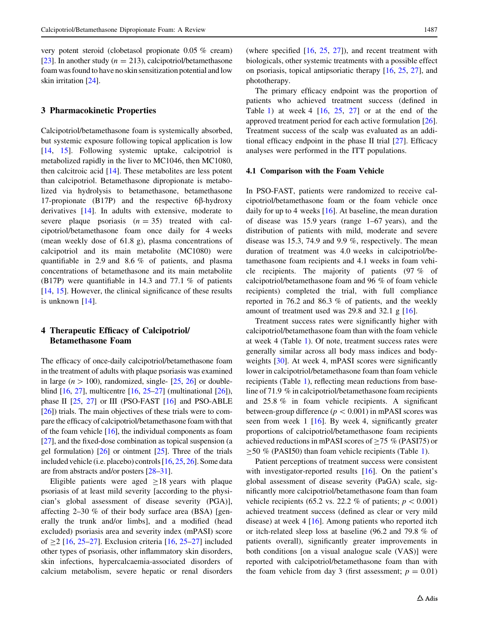<span id="page-2-0"></span>very potent steroid (clobetasol propionate 0.05 % cream) [\[23](#page-7-0)]. In another study ( $n = 213$ ), calcipotriol/betamethasone foam was found to have no skin sensitization potential and low skin irritation [[24](#page-7-0)].

### 3 Pharmacokinetic Properties

Calcipotriol/betamethasone foam is systemically absorbed, but systemic exposure following topical application is low [\[14](#page-7-0), [15\]](#page-7-0). Following systemic uptake, calcipotriol is metabolized rapidly in the liver to MC1046, then MC1080, then calcitroic acid [\[14](#page-7-0)]. These metabolites are less potent than calcipotriol. Betamethasone dipropionate is metabolized via hydrolysis to betamethasone, betamethasone 17-propionate (B17P) and the respective  $6\beta$ -hydroxy derivatives [[14\]](#page-7-0). In adults with extensive, moderate to severe plaque psoriasis  $(n = 35)$  treated with calcipotriol/betamethasone foam once daily for 4 weeks (mean weekly dose of 61.8 g), plasma concentrations of calcipotriol and its main metabolite (MC1080) were quantifiable in 2.9 and 8.6 % of patients, and plasma concentrations of betamethasone and its main metabolite (B17P) were quantifiable in 14.3 and 77.1 % of patients [\[14](#page-7-0), [15\]](#page-7-0). However, the clinical significance of these results is unknown [[14\]](#page-7-0).

### 4 Therapeutic Efficacy of Calcipotriol/ Betamethasone Foam

The efficacy of once-daily calcipotriol/betamethasone foam in the treatment of adults with plaque psoriasis was examined in large ( $n > 100$ ), randomized, single- [\[25](#page-7-0), [26\]](#page-7-0) or doubleblind [\[16](#page-7-0), [27\]](#page-7-0), multicentre [\[16](#page-7-0), [25–27](#page-7-0)] (multinational [\[26](#page-7-0)]), phase II [[25](#page-7-0), [27](#page-7-0)] or III (PSO-FAST [\[16](#page-7-0)] and PSO-ABLE [\[26](#page-7-0)]) trials. The main objectives of these trials were to compare the efficacy of calcipotriol/betamethasone foam with that of the foam vehicle [\[16](#page-7-0)], the individual components as foam [\[27](#page-7-0)], and the fixed-dose combination as topical suspension (a gel formulation) [[26\]](#page-7-0) or ointment [\[25\]](#page-7-0). Three of the trials included vehicle (i.e. placebo) controls [\[16](#page-7-0), [25,](#page-7-0) [26\]](#page-7-0). Some data are from abstracts and/or posters [\[28–31\]](#page-7-0).

Eligible patients were aged  $\geq$ 18 years with plaque psoriasis of at least mild severity [according to the physician's global assessment of disease severity (PGA)], affecting 2–30 % of their body surface area (BSA) [generally the trunk and/or limbs], and a modified (head excluded) psoriasis area and severity index (mPASI) score of  $\geq$  [\[16](#page-7-0), [25–27](#page-7-0)]. Exclusion criteria [[16,](#page-7-0) 25–27] included other types of psoriasis, other inflammatory skin disorders, skin infections, hypercalcaemia-associated disorders of calcium metabolism, severe hepatic or renal disorders

(where specified [[16,](#page-7-0) [25,](#page-7-0) [27](#page-7-0)]), and recent treatment with biologicals, other systemic treatments with a possible effect on psoriasis, topical antipsoriatic therapy [[16,](#page-7-0) [25](#page-7-0), [27\]](#page-7-0), and phototherapy.

The primary efficacy endpoint was the proportion of patients who achieved treatment success (defined in Table [1](#page-3-0)) at week 4  $[16, 25, 27]$  $[16, 25, 27]$  $[16, 25, 27]$  $[16, 25, 27]$  $[16, 25, 27]$  $[16, 25, 27]$  or at the end of the approved treatment period for each active formulation [\[26](#page-7-0)]. Treatment success of the scalp was evaluated as an additional efficacy endpoint in the phase II trial [[27\]](#page-7-0). Efficacy analyses were performed in the ITT populations.

#### 4.1 Comparison with the Foam Vehicle

In PSO-FAST, patients were randomized to receive calcipotriol/betamethasone foam or the foam vehicle once daily for up to 4 weeks [[16\]](#page-7-0). At baseline, the mean duration of disease was 15.9 years (range 1–67 years), and the distribution of patients with mild, moderate and severe disease was 15.3, 74.9 and 9.9 %, respectively. The mean duration of treatment was 4.0 weeks in calcipotriol/betamethasone foam recipients and 4.1 weeks in foam vehicle recipients. The majority of patients (97 % of calcipotriol/betamethasone foam and 96 % of foam vehicle recipients) completed the trial, with full compliance reported in 76.2 and 86.3 % of patients, and the weekly amount of treatment used was 29.8 and 32.1 g [[16\]](#page-7-0).

Treatment success rates were significantly higher with calcipotriol/betamethasone foam than with the foam vehicle at week 4 (Table [1](#page-3-0)). Of note, treatment success rates were generally similar across all body mass indices and body-weights [[30\]](#page-7-0). At week 4, mPASI scores were significantly lower in calcipotriol/betamethasone foam than foam vehicle recipients (Table [1](#page-3-0)), reflecting mean reductions from baseline of 71.9 % in calcipotriol/betamethasone foam recipients and 25.8 % in foam vehicle recipients. A significant between-group difference ( $p < 0.001$ ) in mPASI scores was seen from week 1 [\[16](#page-7-0)]. By week 4, significantly greater proportions of calcipotriol/betamethasone foam recipients achieved reductions in mPASI scores of  $\geq$  75 % (PASI75) or  $>50$  % (PASI50) than foam vehicle recipients (Table [1\)](#page-3-0).

Patient perceptions of treatment success were consistent with investigator-reported results [\[16](#page-7-0)]. On the patient's global assessment of disease severity (PaGA) scale, significantly more calcipotriol/betamethasone foam than foam vehicle recipients (65.2 vs. 22.2 % of patients;  $p \lt 0.001$ ) achieved treatment success (defined as clear or very mild disease) at week 4 [\[16](#page-7-0)]. Among patients who reported itch or itch-related sleep loss at baseline (96.2 and 79.8 % of patients overall), significantly greater improvements in both conditions [on a visual analogue scale (VAS)] were reported with calcipotriol/betamethasone foam than with the foam vehicle from day 3 (first assessment;  $p = 0.01$ )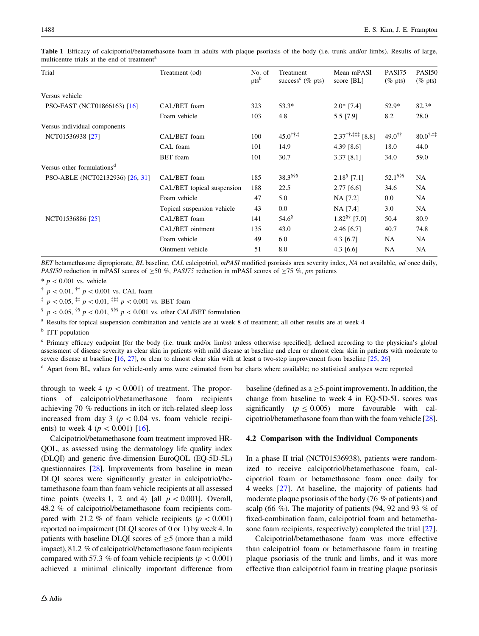| Trial                                  | Treatment (od)             | No. of<br>pts <sup>b</sup> | Treatment<br>success <sup>c</sup> ( $\%$ pts) | Mean mPASI<br>score [BL]                              | <b>PASI75</b><br>$(\%$ pts) | PASI50<br>$(\%$ pts)   |
|----------------------------------------|----------------------------|----------------------------|-----------------------------------------------|-------------------------------------------------------|-----------------------------|------------------------|
| Versus vehicle                         |                            |                            |                                               |                                                       |                             |                        |
| PSO-FAST (NCT01866163) [16]            | CAL/BET foam               | 323                        | $53.3*$                                       | $2.0*$ [7.4]                                          | $52.9*$                     | $82.3*$                |
|                                        | Foam vehicle               | 103                        | 4.8                                           | 5.5 [7.9]                                             | 8.2                         | 28.0                   |
| Versus individual components           |                            |                            |                                               |                                                       |                             |                        |
| NCT01536938 [27]                       | CAL/BET foam               | 100                        | $45.0^{\dagger\dagger,\ddagger}$              | $2.37^{\dagger\dagger,\ddagger\ddagger\dagger}$ [8.8] | $49.0^{\dagger\dagger}$     | $80.0$ <sup>†,‡‡</sup> |
|                                        | CAL foam                   | 101                        | 14.9                                          | 4.39 $[8.6]$                                          | 18.0                        | 44.0                   |
|                                        | <b>BET</b> foam            | 101                        | 30.7                                          | $3.37$ [8.1]                                          | 34.0                        | 59.0                   |
| Versus other formulations <sup>d</sup> |                            |                            |                                               |                                                       |                             |                        |
| PSO-ABLE (NCT02132936) [26, 31]        | CAL/BET foam               | 185                        | 38.3 \$\$\$                                   | $2.18§$ [7.1]                                         | $52.1$ <sup>§§§</sup>       | NA                     |
|                                        | CAL/BET topical suspension | 188                        | 22.5                                          | 2.77 [6.6]                                            | 34.6                        | NA                     |
|                                        | Foam vehicle               | 47                         | 5.0                                           | NA [7.2]                                              | $0.0\,$                     | NA                     |
|                                        | Topical suspension vehicle | 43                         | 0.0                                           | NA [7.4]                                              | 3.0                         | NA                     |
| NCT01536886 [25]                       | CAL/BET foam               | 141                        | $54.6^{\circ}$                                | $1.82$ <sup>§§</sup> [7.0]                            | 50.4                        | 80.9                   |
|                                        | CAL/BET ointment           | 135                        | 43.0                                          | 2.46 [6.7]                                            | 40.7                        | 74.8                   |
|                                        | Foam vehicle               | 49                         | 6.0                                           | 4.3 $[6.7]$                                           | <b>NA</b>                   | NA                     |
|                                        | Ointment vehicle           | 51                         | 8.0                                           | 4.3 [6.6]                                             | NA                          | NA                     |
|                                        |                            |                            |                                               |                                                       |                             |                        |

<span id="page-3-0"></span>Table 1 Efficacy of calcipotriol/betamethasone foam in adults with plaque psoriasis of the body (i.e. trunk and/or limbs). Results of large, multicentre trials at the end of treatment<sup>a</sup>

BET betamethasone dipropionate, BL baseline, CAL calcipotriol, mPASI modified psoriasis area severity index, NA not available, od once daily, *PASI50* reduction in mPASI scores of  $\geq$ 50 %, *PASI75* reduction in mPASI scores of  $\geq$ 75 %, *pts* patients

 $* p < 0.001$  vs. vehicle

 $p \nless 0.01$ ,  $p \nless 0.001$  vs. CAL foam

<sup>‡</sup>  $p < 0.05$ , <sup>‡‡</sup>  $p < 0.01$ , <sup>‡‡‡</sup>  $p < 0.001$  vs. BET foam

§  $p < 0.05$ , §§  $p < 0.01$ , §§§  $p < 0.001$  vs. other CAL/BET formulation

<sup>a</sup> Results for topical suspension combination and vehicle are at week 8 of treatment; all other results are at week 4

<sup>b</sup> ITT population

<sup>c</sup> Primary efficacy endpoint [for the body (i.e. trunk and/or limbs) unless otherwise specified]; defined according to the physician's global assessment of disease severity as clear skin in patients with mild disease at baseline and clear or almost clear skin in patients with moderate to severe disease at baseline [\[16,](#page-7-0) [27](#page-7-0)], or clear to almost clear skin with at least a two-step improvement from baseline [[25](#page-7-0), [26\]](#page-7-0)

<sup>d</sup> Apart from BL, values for vehicle-only arms were estimated from bar charts where available; no statistical analyses were reported

through to week 4 ( $p < 0.001$ ) of treatment. The proportions of calcipotriol/betamethasone foam recipients achieving 70 % reductions in itch or itch-related sleep loss increased from day 3 ( $p < 0.04$  vs. foam vehicle recipients) to week 4 ( $p < 0.001$ ) [[16\]](#page-7-0).

Calcipotriol/betamethasone foam treatment improved HR-QOL, as assessed using the dermatology life quality index (DLQI) and generic five-dimension EuroQOL (EQ-5D-5L) questionnaires [[28](#page-7-0)]. Improvements from baseline in mean DLQI scores were significantly greater in calcipotriol/betamethasone foam than foam vehicle recipients at all assessed time points (weeks 1, 2 and 4) [all  $p < 0.001$ ]. Overall, 48.2 % of calcipotriol/betamethasone foam recipients compared with 21.2 % of foam vehicle recipients ( $p\lt0.001$ ) reported no impairment (DLQI scores of 0 or 1) by week 4. In patients with baseline DLQI scores of  $\geq$ 5 (more than a mild impact), 81.2 % of calcipotriol/betamethasone foam recipients compared with 57.3 % of foam vehicle recipients ( $p < 0.001$ ) achieved a minimal clinically important difference from baseline (defined as  $a \geq 5$ -point improvement). In addition, the change from baseline to week 4 in EQ-5D-5L scores was significantly  $(p < 0.005)$  more favourable with calcipotriol/betamethasone foam than with the foam vehicle [\[28\]](#page-7-0).

#### 4.2 Comparison with the Individual Components

In a phase II trial (NCT01536938), patients were randomized to receive calcipotriol/betamethasone foam, calcipotriol foam or betamethasone foam once daily for 4 weeks [[27\]](#page-7-0). At baseline, the majority of patients had moderate plaque psoriasis of the body (76 % of patients) and scalp (66 %). The majority of patients (94, 92 and 93 % of fixed-combination foam, calcipotriol foam and betamethasone foam recipients, respectively) completed the trial [\[27](#page-7-0)].

Calcipotriol/betamethasone foam was more effective than calcipotriol foam or betamethasone foam in treating plaque psoriasis of the trunk and limbs, and it was more effective than calcipotriol foam in treating plaque psoriasis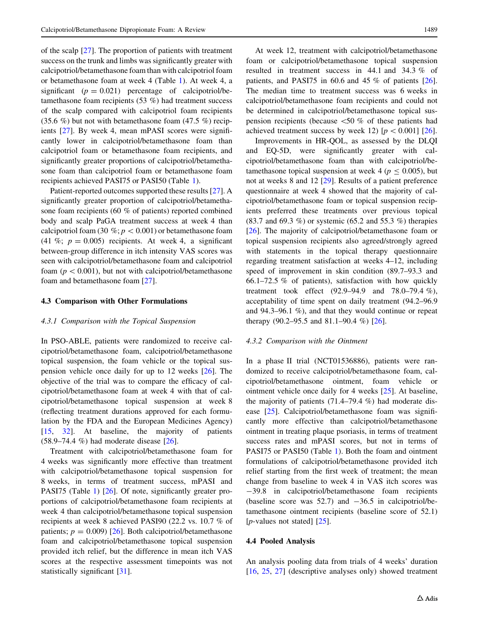of the scalp [[27\]](#page-7-0). The proportion of patients with treatment success on the trunk and limbs was significantly greater with calcipotriol/betamethasone foam than with calcipotriol foam or betamethasone foam at week 4 (Table [1](#page-3-0)). At week 4, a significant ( $p = 0.021$ ) percentage of calcipotriol/betamethasone foam recipients (53 %) had treatment success of the scalp compared with calcipotriol foam recipients  $(35.6\%)$  but not with betamethasone foam  $(47.5\%)$  recipients [\[27](#page-7-0)]. By week 4, mean mPASI scores were significantly lower in calcipotriol/betamethasone foam than calcipotriol foam or betamethasone foam recipients, and significantly greater proportions of calcipotriol/betamethasone foam than calcipotriol foam or betamethasone foam recipients achieved PASI75 or PASI50 (Table [1\)](#page-3-0).

Patient-reported outcomes supported these results [\[27](#page-7-0)]. A significantly greater proportion of calcipotriol/betamethasone foam recipients (60 % of patients) reported combined body and scalp PaGA treatment success at week 4 than calcipotriol foam (30 %;  $p < 0.001$ ) or betamethasone foam (41 %;  $p = 0.005$ ) recipients. At week 4, a significant between-group difference in itch intensity VAS scores was seen with calcipotriol/betamethasone foam and calcipotriol foam ( $p < 0.001$ ), but not with calcipotriol/betamethasone foam and betamethasone foam [[27\]](#page-7-0).

#### 4.3 Comparison with Other Formulations

#### 4.3.1 Comparison with the Topical Suspension

In PSO-ABLE, patients were randomized to receive calcipotriol/betamethasone foam, calcipotriol/betamethasone topical suspension, the foam vehicle or the topical suspension vehicle once daily for up to 12 weeks [[26\]](#page-7-0). The objective of the trial was to compare the efficacy of calcipotriol/betamethasone foam at week 4 with that of calcipotriol/betamethasone topical suspension at week 8 (reflecting treatment durations approved for each formulation by the FDA and the European Medicines Agency) [\[15](#page-7-0), [32\]](#page-7-0). At baseline, the majority of patients (58.9–74.4 %) had moderate disease [[26\]](#page-7-0).

Treatment with calcipotriol/betamethasone foam for 4 weeks was significantly more effective than treatment with calcipotriol/betamethasone topical suspension for 8 weeks, in terms of treatment success, mPASI and PASI75 (Table [1\)](#page-3-0) [[26\]](#page-7-0). Of note, significantly greater proportions of calcipotriol/betamethasone foam recipients at week 4 than calcipotriol/betamethasone topical suspension recipients at week 8 achieved PASI90 (22.2 vs. 10.7 % of patients;  $p = 0.009$  [[26\]](#page-7-0). Both calcipotriol/betamethasone foam and calcipotriol/betamethasone topical suspension provided itch relief, but the difference in mean itch VAS scores at the respective assessment timepoints was not statistically significant [\[31](#page-7-0)].

At week 12, treatment with calcipotriol/betamethasone foam or calcipotriol/betamethasone topical suspension resulted in treatment success in 44.1 and 34.3 % of patients, and PASI75 in 60.6 and 45  $\%$  of patients  $[26]$  $[26]$ . The median time to treatment success was 6 weeks in calcipotriol/betamethasone foam recipients and could not be determined in calcipotriol/betamethasone topical suspension recipients (because  $\leq 50$  % of these patients had achieved treatment success by week 12)  $[p < 0.001]$  [[26\]](#page-7-0).

Improvements in HR-QOL, as assessed by the DLQI and EQ-5D, were significantly greater with calcipotriol/betamethasone foam than with calcipotriol/betamethasone topical suspension at week 4 ( $p \le 0.005$ ), but not at weeks 8 and 12 [\[29](#page-7-0)]. Results of a patient preference questionnaire at week 4 showed that the majority of calcipotriol/betamethasone foam or topical suspension recipients preferred these treatments over previous topical (83.7 and 69.3 %) or systemic (65.2 and 55.3 %) therapies [\[26](#page-7-0)]. The majority of calcipotriol/betamethasone foam or topical suspension recipients also agreed/strongly agreed with statements in the topical therapy questionnaire regarding treatment satisfaction at weeks 4–12, including speed of improvement in skin condition (89.7–93.3 and 66.1–72.5 % of patients), satisfaction with how quickly treatment took effect (92.9–94.9 and 78.0–79.4 %), acceptability of time spent on daily treatment (94.2–96.9 and 94.3–96.1 %), and that they would continue or repeat therapy (90.2–95.5 and 81.1–90.4 %) [\[26](#page-7-0)].

#### 4.3.2 Comparison with the Ointment

In a phase II trial (NCT01536886), patients were randomized to receive calcipotriol/betamethasone foam, calcipotriol/betamethasone ointment, foam vehicle or ointment vehicle once daily for 4 weeks [[25\]](#page-7-0). At baseline, the majority of patients (71.4–79.4 %) had moderate disease [\[25](#page-7-0)]. Calcipotriol/betamethasone foam was significantly more effective than calcipotriol/betamethasone ointment in treating plaque psoriasis, in terms of treatment success rates and mPASI scores, but not in terms of PASI75 or PASI50 (Table [1](#page-3-0)). Both the foam and ointment formulations of calcipotriol/betamethasone provided itch relief starting from the first week of treatment; the mean change from baseline to week 4 in VAS itch scores was -39.8 in calcipotriol/betamethasone foam recipients (baseline score was  $52.7$ ) and  $-36.5$  in calcipotriol/betamethasone ointment recipients (baseline score of 52.1) [ $p$ -values not stated] [ $25$ ].

### 4.4 Pooled Analysis

An analysis pooling data from trials of 4 weeks' duration [\[16](#page-7-0), [25,](#page-7-0) [27\]](#page-7-0) (descriptive analyses only) showed treatment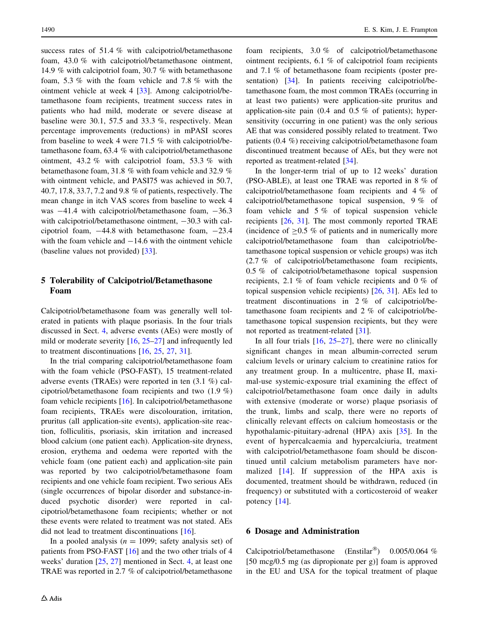<span id="page-5-0"></span>success rates of 51.4 % with calcipotriol/betamethasone foam, 43.0 % with calcipotriol/betamethasone ointment, 14.9 % with calcipotriol foam, 30.7 % with betamethasone foam, 5.3 % with the foam vehicle and 7.8 % with the ointment vehicle at week 4 [\[33](#page-7-0)]. Among calcipotriol/betamethasone foam recipients, treatment success rates in patients who had mild, moderate or severe disease at baseline were 30.1, 57.5 and 33.3 %, respectively. Mean percentage improvements (reductions) in mPASI scores from baseline to week 4 were 71.5 % with calcipotriol/betamethasone foam, 63.4 % with calcipotriol/betamethasone ointment, 43.2 % with calcipotriol foam, 53.3 % with betamethasone foam, 31.8 % with foam vehicle and 32.9 % with ointment vehicle, and PASI75 was achieved in 50.7, 40.7, 17.8, 33.7, 7.2 and 9.8 % of patients, respectively. The mean change in itch VAS scores from baseline to week 4 was  $-41.4$  with calcipotriol/betamethasone foam,  $-36.3$ with calcipotriol/betamethasone ointment,  $-30.3$  with calcipotriol foam,  $-44.8$  with betamethasone foam,  $-23.4$ with the foam vehicle and  $-14.6$  with the ointment vehicle (baseline values not provided) [[33\]](#page-7-0).

# 5 Tolerability of Calcipotriol/Betamethasone Foam

Calcipotriol/betamethasone foam was generally well tolerated in patients with plaque psoriasis. In the four trials discussed in Sect. [4,](#page-2-0) adverse events (AEs) were mostly of mild or moderate severity  $[16, 25-27]$  $[16, 25-27]$  and infrequently led to treatment discontinuations [[16,](#page-7-0) [25](#page-7-0), [27](#page-7-0), [31](#page-7-0)].

In the trial comparing calcipotriol/betamethasone foam with the foam vehicle (PSO-FAST), 15 treatment-related adverse events (TRAEs) were reported in ten (3.1 %) calcipotriol/betamethasone foam recipients and two (1.9 %) foam vehicle recipients [\[16](#page-7-0)]. In calcipotriol/betamethasone foam recipients, TRAEs were discolouration, irritation, pruritus (all application-site events), application-site reaction, folliculitis, psoriasis, skin irritation and increased blood calcium (one patient each). Application-site dryness, erosion, erythema and oedema were reported with the vehicle foam (one patient each) and application-site pain was reported by two calcipotriol/betamethasone foam recipients and one vehicle foam recipient. Two serious AEs (single occurrences of bipolar disorder and substance-induced psychotic disorder) were reported in calcipotriol/betamethasone foam recipients; whether or not these events were related to treatment was not stated. AEs did not lead to treatment discontinuations [[16\]](#page-7-0).

In a pooled analysis  $(n = 1099)$ ; safety analysis set) of patients from PSO-FAST [[16\]](#page-7-0) and the two other trials of 4 weeks' duration [[25,](#page-7-0) [27](#page-7-0)] mentioned in Sect. [4,](#page-2-0) at least one TRAE was reported in 2.7 % of calcipotriol/betamethasone foam recipients, 3.0 % of calcipotriol/betamethasone ointment recipients, 6.1 % of calcipotriol foam recipients and 7.1 % of betamethasone foam recipients (poster pre-sentation) [\[34](#page-7-0)]. In patients receiving calcipotriol/betamethasone foam, the most common TRAEs (occurring in at least two patients) were application-site pruritus and application-site pain (0.4 and 0.5 % of patients); hypersensitivity (occurring in one patient) was the only serious AE that was considered possibly related to treatment. Two patients (0.4 %) receiving calcipotriol/betamethasone foam discontinued treatment because of AEs, but they were not reported as treatment-related [[34\]](#page-7-0).

In the longer-term trial of up to 12 weeks' duration (PSO-ABLE), at least one TRAE was reported in 8 % of calcipotriol/betamethasone foam recipients and 4 % of calcipotriol/betamethasone topical suspension, 9 % of foam vehicle and 5 % of topical suspension vehicle recipients [[26,](#page-7-0) [31\]](#page-7-0). The most commonly reported TRAE (incidence of  $\geq$ 0.5 % of patients and in numerically more calcipotriol/betamethasone foam than calcipotriol/betamethasone topical suspension or vehicle groups) was itch (2.7 % of calcipotriol/betamethasone foam recipients, 0.5 % of calcipotriol/betamethasone topical suspension recipients, 2.1 % of foam vehicle recipients and 0 % of topical suspension vehicle recipients) [\[26](#page-7-0), [31](#page-7-0)]. AEs led to treatment discontinuations in 2 % of calcipotriol/betamethasone foam recipients and 2 % of calcipotriol/betamethasone topical suspension recipients, but they were not reported as treatment-related [[31\]](#page-7-0).

In all four trials  $[16, 25-27]$  $[16, 25-27]$ , there were no clinically significant changes in mean albumin-corrected serum calcium levels or urinary calcium to creatinine ratios for any treatment group. In a multicentre, phase II, maximal-use systemic-exposure trial examining the effect of calcipotriol/betamethasone foam once daily in adults with extensive (moderate or worse) plaque psoriasis of the trunk, limbs and scalp, there were no reports of clinically relevant effects on calcium homeostasis or the hypothalamic-pituitary-adrenal (HPA) axis [[35\]](#page-7-0). In the event of hypercalcaemia and hypercalciuria, treatment with calcipotriol/betamethasone foam should be discontinued until calcium metabolism parameters have normalized [\[14\]](#page-7-0). If suppression of the HPA axis is documented, treatment should be withdrawn, reduced (in frequency) or substituted with a corticosteroid of weaker potency [[14](#page-7-0)].

#### 6 Dosage and Administration

Calcipotriol/betamethasone (Enstilar<sup>®</sup>) 0.005/0.064 % [50 mcg/0.5 mg (as dipropionate per g)] foam is approved in the EU and USA for the topical treatment of plaque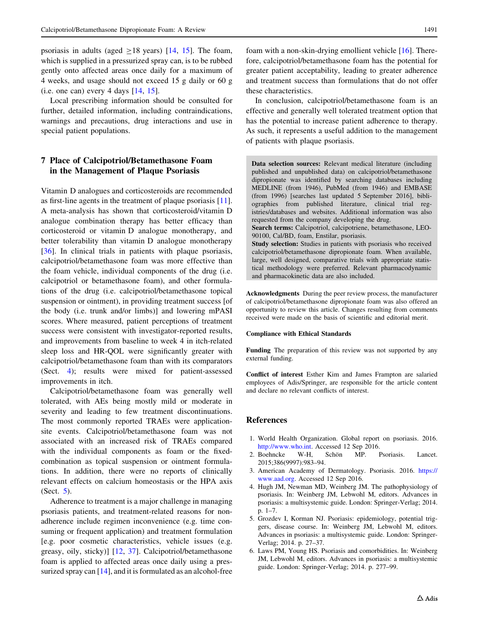<span id="page-6-0"></span>psoriasis in adults (aged  $>18$  years) [[14,](#page-7-0) [15](#page-7-0)]. The foam, which is supplied in a pressurized spray can, is to be rubbed gently onto affected areas once daily for a maximum of 4 weeks, and usage should not exceed 15 g daily or 60 g  $(i.e. one can) every 4 days [14, 15].$  $(i.e. one can) every 4 days [14, 15].$  $(i.e. one can) every 4 days [14, 15].$  $(i.e. one can) every 4 days [14, 15].$  $(i.e. one can) every 4 days [14, 15].$ 

Local prescribing information should be consulted for further, detailed information, including contraindications, warnings and precautions, drug interactions and use in special patient populations.

## 7 Place of Calcipotriol/Betamethasone Foam in the Management of Plaque Psoriasis

Vitamin D analogues and corticosteroids are recommended as first-line agents in the treatment of plaque psoriasis [\[11](#page-7-0)]. A meta-analysis has shown that corticosteroid/vitamin D analogue combination therapy has better efficacy than corticosteroid or vitamin D analogue monotherapy, and better tolerability than vitamin D analogue monotherapy [\[36](#page-7-0)]. In clinical trials in patients with plaque psoriasis, calcipotriol/betamethasone foam was more effective than the foam vehicle, individual components of the drug (i.e. calcipotriol or betamethasone foam), and other formulations of the drug (i.e. calcipotriol/betamethasone topical suspension or ointment), in providing treatment success [of the body (i.e. trunk and/or limbs)] and lowering mPASI scores. Where measured, patient perceptions of treatment success were consistent with investigator-reported results, and improvements from baseline to week 4 in itch-related sleep loss and HR-QOL were significantly greater with calcipotriol/betamethasone foam than with its comparators (Sect. [4\)](#page-2-0); results were mixed for patient-assessed improvements in itch.

Calcipotriol/betamethasone foam was generally well tolerated, with AEs being mostly mild or moderate in severity and leading to few treatment discontinuations. The most commonly reported TRAEs were applicationsite events. Calcipotriol/betamethasone foam was not associated with an increased risk of TRAEs compared with the individual components as foam or the fixedcombination as topical suspension or ointment formulations. In addition, there were no reports of clinically relevant effects on calcium homeostasis or the HPA axis (Sect. [5\)](#page-5-0).

Adherence to treatment is a major challenge in managing psoriasis patients, and treatment-related reasons for nonadherence include regimen inconvenience (e.g. time consuming or frequent application) and treatment formulation [e.g. poor cosmetic characteristics, vehicle issues (e.g. greasy, oily, sticky)] [[12,](#page-7-0) [37](#page-7-0)]. Calcipotriol/betamethasone foam is applied to affected areas once daily using a pressurized spray can  $[14]$  $[14]$ , and it is formulated as an alcohol-free

foam with a non-skin-drying emollient vehicle [\[16](#page-7-0)]. Therefore, calcipotriol/betamethasone foam has the potential for greater patient acceptability, leading to greater adherence and treatment success than formulations that do not offer these characteristics.

In conclusion, calcipotriol/betamethasone foam is an effective and generally well tolerated treatment option that has the potential to increase patient adherence to therapy. As such, it represents a useful addition to the management of patients with plaque psoriasis.

Data selection sources: Relevant medical literature (including published and unpublished data) on calcipotriol/betamethasone dipropionate was identified by searching databases including MEDLINE (from 1946), PubMed (from 1946) and EMBASE (from 1996) [searches last updated 5 September 2016], bibliographies from published literature, clinical trial registries/databases and websites. Additional information was also requested from the company developing the drug. Search terms: Calcipotriol, calcipotriene, betamethasone, LEO-90100, Cal/BD, foam, Enstilar, psoriasis. Study selection: Studies in patients with psoriasis who received calcipotriol/betamethasone dipropionate foam. When available,

large, well designed, comparative trials with appropriate statistical methodology were preferred. Relevant pharmacodynamic and pharmacokinetic data are also included.

Acknowledgments During the peer review process, the manufacturer of calcipotriol/betamethasone dipropionate foam was also offered an opportunity to review this article. Changes resulting from comments received were made on the basis of scientific and editorial merit.

#### Compliance with Ethical Standards

Funding The preparation of this review was not supported by any external funding.

Conflict of interest Esther Kim and James Frampton are salaried employees of Adis/Springer, are responsible for the article content and declare no relevant conflicts of interest.

#### References

- 1. World Health Organization. Global report on psoriasis. 2016. <http://www.who.int>. Accessed 12 Sep 2016.
- 2. Boehncke W-H, Schön MP. Psoriasis. Lancet. 2015;386(9997):983–94.
- 3. American Academy of Dermatology. Psoriasis. 2016. [https://](https://www.aad.org) [www.aad.org](https://www.aad.org). Accessed 12 Sep 2016.
- 4. Hugh JM, Newman MD, Weinberg JM. The pathophysiology of psoriasis. In: Weinberg JM, Lebwohl M, editors. Advances in psoriasis: a multisystemic guide. London: Springer-Verlag; 2014. p. 1–7.
- 5. Grozdev I, Korman NJ. Psoriasis: epidemiology, potential triggers, disease course. In: Weinberg JM, Lebwohl M, editors. Advances in psoriasis: a multisystemic guide. London: Springer-Verlag; 2014. p. 27–37.
- 6. Laws PM, Young HS. Psoriasis and comorbidities. In: Weinberg JM, Lebwohl M, editors. Advances in psoriasis: a multisystemic guide. London: Springer-Verlag; 2014. p. 277–99.